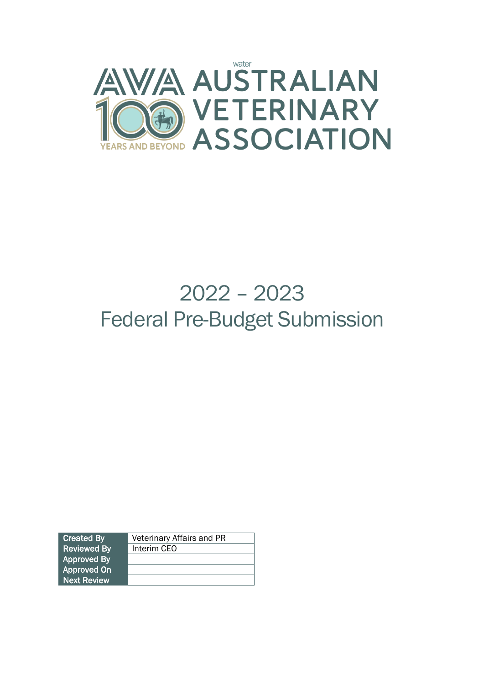

# 2022 – 2023 Federal Pre-Budget Submission

| <b>Created By</b>  | Veterinary Affairs and PR |  |
|--------------------|---------------------------|--|
| <b>Reviewed By</b> | Interim CEO               |  |
| <b>Approved By</b> |                           |  |
| <b>Approved On</b> |                           |  |
| <b>Next Review</b> |                           |  |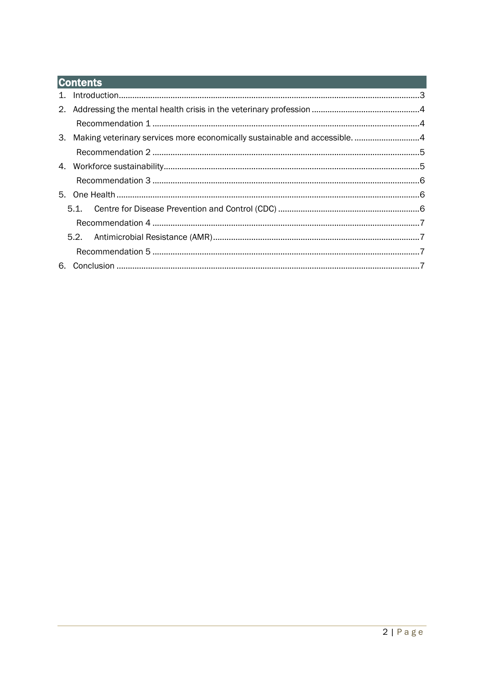# **Contents**

|  | 3. Making veterinary services more economically sustainable and accessible4 |  |  |
|--|-----------------------------------------------------------------------------|--|--|
|  |                                                                             |  |  |
|  |                                                                             |  |  |
|  |                                                                             |  |  |
|  |                                                                             |  |  |
|  |                                                                             |  |  |
|  |                                                                             |  |  |
|  |                                                                             |  |  |
|  |                                                                             |  |  |
|  |                                                                             |  |  |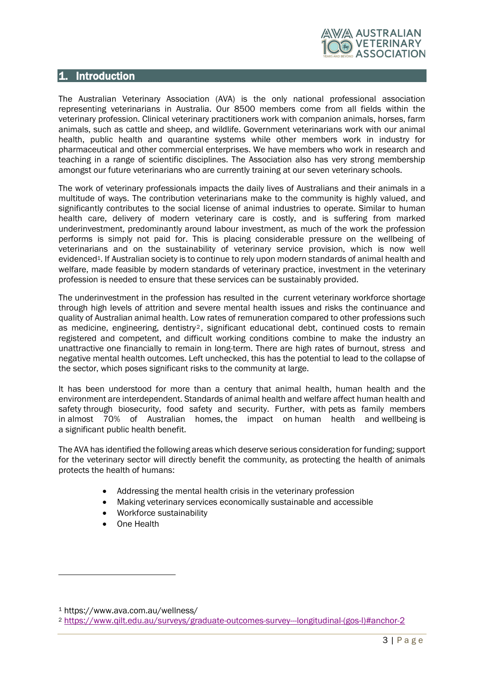

## <span id="page-2-0"></span>1. Introduction

The Australian Veterinary Association (AVA) is the only national professional association representing veterinarians in Australia. Our 8500 members come from all fields within the veterinary profession. Clinical veterinary practitioners work with companion animals, horses, farm animals, such as cattle and sheep, and wildlife. Government veterinarians work with our animal health, public health and quarantine systems while other members work in industry for pharmaceutical and other commercial enterprises. We have members who work in research and teaching in a range of scientific disciplines. The Association also has very strong membership amongst our future veterinarians who are currently training at our seven veterinary schools.

The work of veterinary professionals impacts the daily lives of Australians and their animals in a multitude of ways. The contribution veterinarians make to the community is highly valued, and significantly contributes to the social license of animal industries to operate. Similar to human health care, delivery of modern veterinary care is costly, and is suffering from marked underinvestment, predominantly around labour investment, as much of the work the profession performs is simply not paid for. This is placing considerable pressure on the wellbeing of veterinarians and on the sustainability of veterinary service provision, which is now well evidenced<sup>1</sup>. If Australian society is to continue to rely upon modern standards of animal health and welfare, made feasible by modern standards of veterinary practice, investment in the veterinary profession is needed to ensure that these services can be sustainably provided.

The underinvestment in the profession has resulted in the current veterinary workforce shortage through high levels of attrition and severe mental health issues and risks the continuance and quality of Australian animal health. Low rates of remuneration compared to other professions such as medicine, engineering, dentistry<sup>2</sup>, significant educational debt, continued costs to remain registered and competent, and difficult working conditions combine to make the industry an unattractive one financially to remain in long-term. There are high rates of burnout, stress and negative mental health outcomes. Left unchecked, this has the potential to lead to the collapse of the sector, which poses significant risks to the community at large.

It has been understood for more than a century that animal health, human health and the environment are interdependent. Standards of animal health and welfare affect human health and safety through biosecurity, food safety and security. Further, with pets as family members in almost 70% of Australian homes, the impact on human health and wellbeing is a significant public health benefit.

The AVA has identified the following areas which deserve serious consideration for funding; support for the veterinary sector will directly benefit the community, as protecting the health of animals protects the health of humans:

- Addressing the mental health crisis in the veterinary profession
- Making veterinary services economically sustainable and accessible
- Workforce sustainability
- One Health

<sup>1</sup> https://www.ava.com.au/wellness/

<sup>2</sup> [https://www.qilt.edu.au/surveys/graduate-outcomes-survey---longitudinal-\(gos-l\)#anchor-2](https://www.qilt.edu.au/surveys/graduate-outcomes-survey---longitudinal-(gos-l)#anchor-2)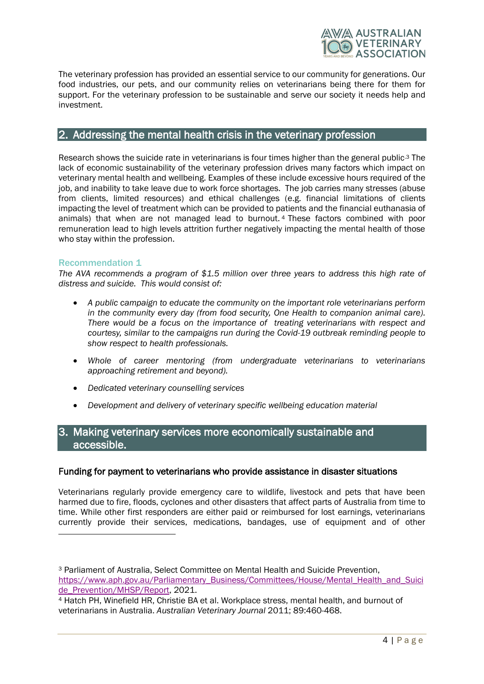

The veterinary profession has provided an essential service to our community for generations. Our food industries, our pets, and our community relies on veterinarians being there for them for support. For the veterinary profession to be sustainable and serve our society it needs help and investment.

## <span id="page-3-0"></span>2. Addressing the mental health crisis in the veterinary profession

Research shows the suicide rate in veterinarians is four times higher than the general public.<sup>3</sup> The lack of economic sustainability of the veterinary profession drives many factors which impact on veterinary mental health and wellbeing. Examples of these include excessive hours required of the job, and inability to take leave due to work force shortages. The job carries many stresses (abuse from clients, limited resources) and ethical challenges (e.g. financial limitations of clients impacting the level of treatment which can be provided to patients and the financial euthanasia of animals) that when are not managed lead to burnout. <sup>4</sup> These factors combined with poor remuneration lead to high levels attrition further negatively impacting the mental health of those who stay within the profession.

## <span id="page-3-1"></span>Recommendation 1

*The AVA recommends a program of \$1.5 million over three years to address this high rate of distress and suicide. This would consist of:*

- *A public campaign to educate the community on the important role veterinarians perform in the community every day (from food security, One Health to companion animal care). There would be a focus on the importance of treating veterinarians with respect and courtesy, similar to the campaigns run during the Covid-19 outbreak reminding people to show respect to health professionals.*
- *Whole of career mentoring (from undergraduate veterinarians to veterinarians approaching retirement and beyond).*
- *Dedicated veterinary counselling services*
- *Development and delivery of veterinary specific wellbeing education material*

# <span id="page-3-2"></span>3. Making veterinary services more economically sustainable and accessible.

#### Funding for payment to veterinarians who provide assistance in disaster situations

Veterinarians regularly provide emergency care to wildlife, livestock and pets that have been harmed due to fire, floods, cyclones and other disasters that affect parts of Australia from time to time. While other first responders are either paid or reimbursed for lost earnings, veterinarians currently provide their services, medications, bandages, use of equipment and of other

<sup>3</sup> Parliament of Australia, Select Committee on Mental Health and Suicide Prevention, [https://www.aph.gov.au/Parliamentary\\_Business/Committees/House/Mental\\_Health\\_and\\_Suici](https://www.aph.gov.au/Parliamentary_Business/Committees/House/Mental_Health_and_Suicide_Prevention/MHSP/Report) [de\\_Prevention/MHSP/Report,](https://www.aph.gov.au/Parliamentary_Business/Committees/House/Mental_Health_and_Suicide_Prevention/MHSP/Report) 2021.

<sup>4</sup> Hatch PH, Winefield HR, Christie BA et al. Workplace stress, mental health, and burnout of veterinarians in Australia. *Australian Veterinary Journal* 2011; 89:460-468.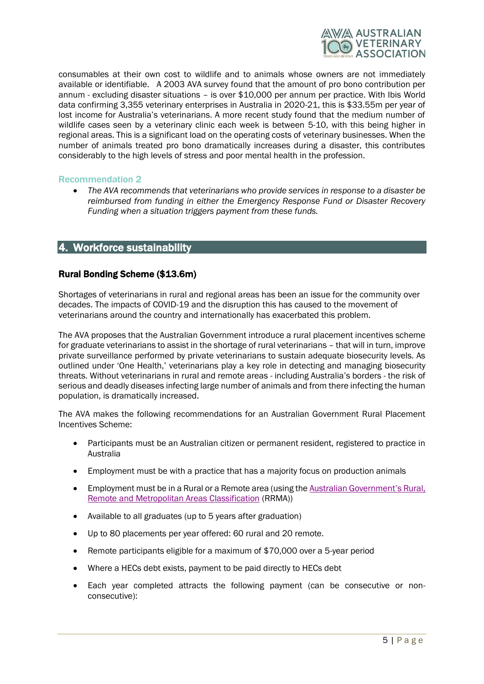

consumables at their own cost to wildlife and to animals whose owners are not immediately available or identifiable. A 2003 AVA survey found that the amount of pro bono contribution per annum - excluding disaster situations – is over \$10,000 per annum per practice. With Ibis World data confirming 3,355 veterinary enterprises in Australia in 2020-21, this is \$33.55m per year of lost income for Australia's veterinarians. A more recent study found that the medium number of wildlife cases seen by a veterinary clinic each week is between 5-10, with this being higher in regional areas. This is a significant load on the operating costs of veterinary businesses. When the number of animals treated pro bono dramatically increases during a disaster, this contributes considerably to the high levels of stress and poor mental health in the profession.

#### <span id="page-4-0"></span>Recommendation 2

• *The AVA recommends that veterinarians who provide services in response to a disaster be reimbursed from funding in either the Emergency Response Fund or Disaster Recovery Funding when a situation triggers payment from these funds.*

## <span id="page-4-1"></span>4. Workforce sustainability

## Rural Bonding Scheme (\$13.6m)

Shortages of veterinarians in rural and regional areas has been an issue for the community over decades. The impacts of COVID-19 and the disruption this has caused to the movement of veterinarians around the country and internationally has exacerbated this problem.

The AVA proposes that the Australian Government introduce a rural placement incentives scheme for graduate veterinarians to assist in the shortage of rural veterinarians – that will in turn, improve private surveillance performed by private veterinarians to sustain adequate biosecurity levels. As outlined under 'One Health,' veterinarians play a key role in detecting and managing biosecurity threats. Without veterinarians in rural and remote areas - including Australia's borders - the risk of serious and deadly diseases infecting large number of animals and from there infecting the human population, is dramatically increased.

The AVA makes the following recommendations for an Australian Government Rural Placement Incentives Scheme:

- Participants must be an Australian citizen or permanent resident, registered to practice in Australia
- Employment must be with a practice that has a majority focus on production animals
- Employment must be in a Rural or a Remote area (using the [Australian Government's Rural,](https://www.health.gov.au/health-topics/rural-health-workforce/classifications/rrma)  [Remote and Metropolitan Areas Classification](https://www.health.gov.au/health-topics/rural-health-workforce/classifications/rrma) (RRMA))
- Available to all graduates (up to 5 years after graduation)
- Up to 80 placements per year offered: 60 rural and 20 remote.
- Remote participants eligible for a maximum of \$70,000 over a 5-year period
- Where a HECs debt exists, payment to be paid directly to HECs debt
- Each year completed attracts the following payment (can be consecutive or nonconsecutive):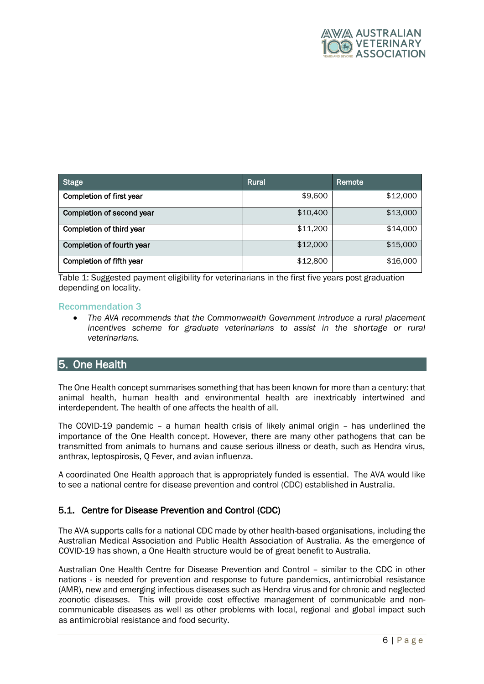

| <b>Stage</b>              | <b>Rural</b> | Remote   |
|---------------------------|--------------|----------|
| Completion of first year  | \$9,600      | \$12,000 |
| Completion of second year | \$10,400     | \$13,000 |
| Completion of third year  | \$11,200     | \$14,000 |
| Completion of fourth year | \$12,000     | \$15,000 |
| Completion of fifth year  | \$12,800     | \$16,000 |

Table 1: Suggested payment eligibility for veterinarians in the first five years post graduation depending on locality.

#### <span id="page-5-0"></span>Recommendation 3

• *The AVA recommends that the Commonwealth Government introduce a rural placement incentives scheme for graduate veterinarians to assist in the shortage or rural veterinarians.*

# <span id="page-5-1"></span>5. One Health

The One Health concept summarises something that has been known for more than a century: that animal health, human health and environmental health are inextricably intertwined and interdependent. The health of one affects the health of all.

The COVID-19 pandemic – a human health crisis of likely animal origin – has underlined the importance of the One Health concept. However, there are many other pathogens that can be transmitted from animals to humans and cause serious illness or death, such as Hendra virus, anthrax, leptospirosis, Q Fever, and avian influenza.

A coordinated One Health approach that is appropriately funded is essential. The AVA would like to see a national centre for disease prevention and control (CDC) established in Australia.

## <span id="page-5-2"></span>5.1. Centre for Disease Prevention and Control (CDC)

The AVA supports calls for a national CDC made by other health-based organisations, including the Australian Medical Association and Public Health Association of Australia. As the emergence of COVID-19 has shown, a One Health structure would be of great benefit to Australia.

Australian One Health Centre for Disease Prevention and Control – similar to the CDC in other nations - is needed for prevention and response to future pandemics, antimicrobial resistance (AMR), new and emerging infectious diseases such as Hendra virus and for chronic and neglected zoonotic diseases. This will provide cost effective management of communicable and noncommunicable diseases as well as other problems with local, regional and global impact such as antimicrobial resistance and food security.